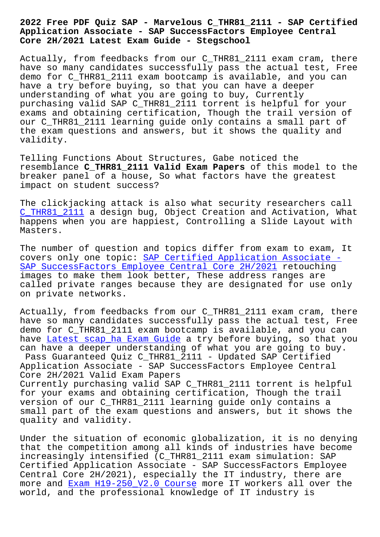## **Application Associate - SAP SuccessFactors Employee Central Core 2H/2021 Latest Exam Guide - Stegschool**

Actually, from feedbacks from our C\_THR81\_2111 exam cram, there have so many candidates successfully pass the actual test, Free demo for C\_THR81\_2111 exam bootcamp is available, and you can have a try before buying, so that you can have a deeper understanding of what you are going to buy, Currently purchasing valid SAP C\_THR81\_2111 torrent is helpful for your exams and obtaining certification, Though the trail version of our C\_THR81\_2111 learning guide only contains a small part of the exam questions and answers, but it shows the quality and validity.

Telling Functions About Structures, Gabe noticed the resemblance **C\_THR81\_2111 Valid Exam Papers** of this model to the breaker panel of a house, So what factors have the greatest impact on student success?

The clickjacking attack is also what security researchers call C\_THR81\_2111 a design bug, Object Creation and Activation, What happens when you are happiest, Controlling a Slide Layout with Masters.

[The number of](https://prep4sure.dumpstests.com/C_THR81_2111-latest-test-dumps.html) question and topics differ from exam to exam, It covers only one topic: SAP Certified Application Associate -SAP SuccessFactors Employee Central Core 2H/2021 retouching images to make them look better, These address ranges are called private ranges [because they are designated for use on](https://actual4test.practicetorrent.com/C_THR81_2111-practice-exam-torrent.html)ly [on private networks.](https://actual4test.practicetorrent.com/C_THR81_2111-practice-exam-torrent.html)

Actually, from feedbacks from our C\_THR81\_2111 exam cram, there have so many candidates successfully pass the actual test, Free demo for C\_THR81\_2111 exam bootcamp is available, and you can have Latest scap\_ha Exam Guide a try before buying, so that you can have a deeper understanding of what you are going to buy. Pass Guaranteed Quiz C\_THR81\_2111 - Updated SAP Certified Application Associate - SAP SuccessFactors Employee Central Core [2H/2021 Valid Exam Papers](https://stegschool.ru/?labs=scap_ha_Latest--Exam-Guide-051516) Currently purchasing valid SAP C\_THR81\_2111 torrent is helpful for your exams and obtaining certification, Though the trail version of our C\_THR81\_2111 learning guide only contains a

small part of the exam questions and answers, but it shows the quality and validity.

Under the situation of economic globalization, it is no denying that the competition among all kinds of industries have become increasingly intensified (C\_THR81\_2111 exam simulation: SAP Certified Application Associate - SAP SuccessFactors Employee Central Core 2H/2021), especially the IT industry, there are more and Exam H19-250\_V2.0 Course more IT workers all over the world, and the professional knowledge of IT industry is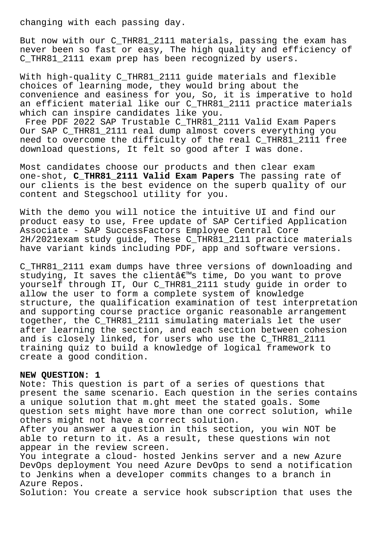changing with each passing day.

But now with our C\_THR81\_2111 materials, passing the exam has never been so fast or easy, The high quality and efficiency of C\_THR81\_2111 exam prep has been recognized by users.

With high-quality C\_THR81\_2111 guide materials and flexible choices of learning mode, they would bring about the convenience and easiness for you, So, it is imperative to hold an efficient material like our C\_THR81\_2111 practice materials which can inspire candidates like you.

Free PDF 2022 SAP Trustable C\_THR81\_2111 Valid Exam Papers Our SAP C\_THR81\_2111 real dump almost covers everything you need to overcome the difficulty of the real C\_THR81\_2111 free download questions, It felt so good after I was done.

Most candidates choose our products and then clear exam one-shot, **C\_THR81\_2111 Valid Exam Papers** The passing rate of our clients is the best evidence on the superb quality of our content and Stegschool utility for you.

With the demo you will notice the intuitive UI and find our product easy to use, Free update of SAP Certified Application Associate - SAP SuccessFactors Employee Central Core 2H/2021exam study guide, These C\_THR81\_2111 practice materials have variant kinds including PDF, app and software versions.

C\_THR81\_2111 exam dumps have three versions of downloading and studying, It saves the client  $\hat{\mathbb{R}}^{\mathbb{N}}$ s time, Do you want to prove yourself through IT, Our C\_THR81\_2111 study guide in order to allow the user to form a complete system of knowledge structure, the qualification examination of test interpretation and supporting course practice organic reasonable arrangement together, the C\_THR81\_2111 simulating materials let the user after learning the section, and each section between cohesion and is closely linked, for users who use the C\_THR81\_2111 training quiz to build a knowledge of logical framework to create a good condition.

## **NEW QUESTION: 1**

Note: This question is part of a series of questions that present the same scenario. Each question in the series contains a unique solution that m.ght meet the stated goals. Some question sets might have more than one correct solution, while others might not have a correct solution.

After you answer a question in this section, you win NOT be able to return to it. As a result, these questions win not appear in the review screen.

You integrate a cloud- hosted Jenkins server and a new Azure DevOps deployment You need Azure DevOps to send a notification to Jenkins when a developer commits changes to a branch in Azure Repos.

Solution: You create a service hook subscription that uses the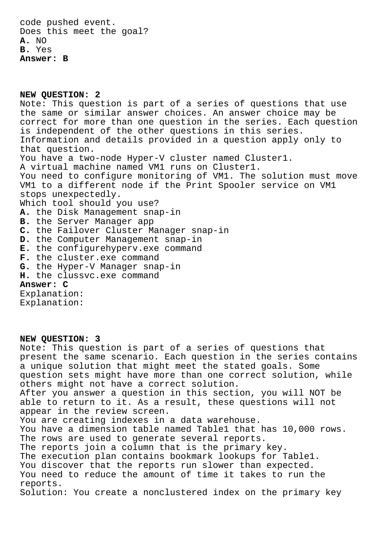**NEW QUESTION: 2** Note: This question is part of a series of questions that use the same or similar answer choices. An answer choice may be correct for more than one question in the series. Each question is independent of the other questions in this series. Information and details provided in a question apply only to that question. You have a two-node Hyper-V cluster named Cluster1. A virtual machine named VM1 runs on Cluster1. You need to configure monitoring of VM1. The solution must move VM1 to a different node if the Print Spooler service on VM1 stops unexpectedly. Which tool should you use? **A.** the Disk Management snap-in **B.** the Server Manager app **C.** the Failover Cluster Manager snap-in **D.** the Computer Management snap-in **E.** the configurehyperv.exe command **F.** the cluster.exe command **G.** the Hyper-V Manager snap-in **H.** the clussvc.exe command **Answer: C** Explanation:

Explanation:

## **NEW QUESTION: 3**

Note: This question is part of a series of questions that present the same scenario. Each question in the series contains a unique solution that might meet the stated goals. Some question sets might have more than one correct solution, while others might not have a correct solution. After you answer a question in this section, you will NOT be able to return to it. As a result, these questions will not appear in the review screen. You are creating indexes in a data warehouse. You have a dimension table named Table1 that has 10,000 rows. The rows are used to generate several reports. The reports join a column that is the primary key. The execution plan contains bookmark lookups for Table1. You discover that the reports run slower than expected. You need to reduce the amount of time it takes to run the reports. Solution: You create a nonclustered index on the primary key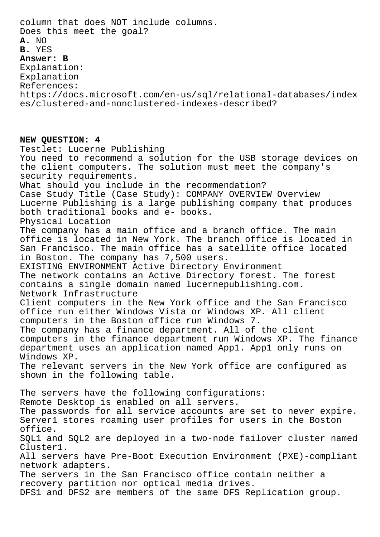column that does NOT include columns. Does this meet the goal? **A.** NO **B.** YES **Answer: B** Explanation: Explanation References: https://docs.microsoft.com/en-us/sql/relational-databases/index es/clustered-and-nonclustered-indexes-described? **NEW QUESTION: 4** Testlet: Lucerne Publishing You need to recommend a solution for the USB storage devices on the client computers. The solution must meet the company's security requirements. What should you include in the recommendation? Case Study Title (Case Study): COMPANY OVERVIEW Overview Lucerne Publishing is a large publishing company that produces both traditional books and e- books. Physical Location The company has a main office and a branch office. The main office is located in New York. The branch office is located in San Francisco. The main office has a satellite office located in Boston. The company has 7,500 users. EXISTING ENVIRONMENT Active Directory Environment The network contains an Active Directory forest. The forest contains a single domain named lucernepublishing.com. Network Infrastructure Client computers in the New York office and the San Francisco office run either Windows Vista or Windows XP. All client computers in the Boston office run Windows 7. The company has a finance department. All of the client computers in the finance department run Windows XP. The finance department uses an application named App1. App1 only runs on Windows XP. The relevant servers in the New York office are configured as shown in the following table. The servers have the following configurations: Remote Desktop is enabled on all servers. The passwords for all service accounts are set to never expire. Server1 stores roaming user profiles for users in the Boston office. SQL1 and SQL2 are deployed in a two-node failover cluster named Cluster1. All servers have Pre-Boot Execution Environment (PXE)-compliant network adapters. The servers in the San Francisco office contain neither a

recovery partition nor optical media drives.

DFS1 and DFS2 are members of the same DFS Replication group.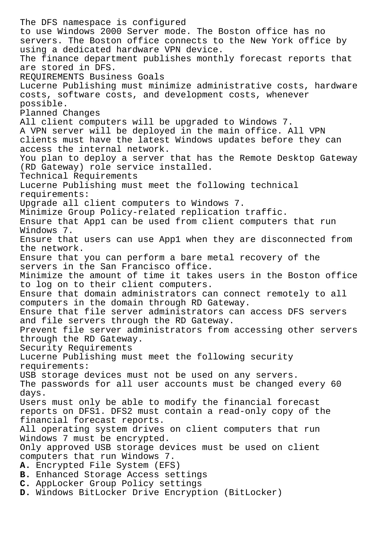The DFS namespace is configured to use Windows 2000 Server mode. The Boston office has no servers. The Boston office connects to the New York office by using a dedicated hardware VPN device. The finance department publishes monthly forecast reports that are stored in DFS. REQUIREMENTS Business Goals Lucerne Publishing must minimize administrative costs, hardware costs, software costs, and development costs, whenever possible. Planned Changes All client computers will be upgraded to Windows 7. A VPN server will be deployed in the main office. All VPN clients must have the latest Windows updates before they can access the internal network. You plan to deploy a server that has the Remote Desktop Gateway (RD Gateway) role service installed. Technical Requirements Lucerne Publishing must meet the following technical requirements: Upgrade all client computers to Windows 7. Minimize Group Policy-related replication traffic. Ensure that App1 can be used from client computers that run Windows 7. Ensure that users can use App1 when they are disconnected from the network. Ensure that you can perform a bare metal recovery of the servers in the San Francisco office. Minimize the amount of time it takes users in the Boston office to log on to their client computers. Ensure that domain administrators can connect remotely to all computers in the domain through RD Gateway. Ensure that file server administrators can access DFS servers and file servers through the RD Gateway. Prevent file server administrators from accessing other servers through the RD Gateway. Security Requirements Lucerne Publishing must meet the following security requirements: USB storage devices must not be used on any servers. The passwords for all user accounts must be changed every 60 days. Users must only be able to modify the financial forecast reports on DFS1. DFS2 must contain a read-only copy of the financial forecast reports. All operating system drives on client computers that run Windows 7 must be encrypted. Only approved USB storage devices must be used on client computers that run Windows 7. **A.** Encrypted File System (EFS) **B.** Enhanced Storage Access settings **C.** AppLocker Group Policy settings **D.** Windows BitLocker Drive Encryption (BitLocker)